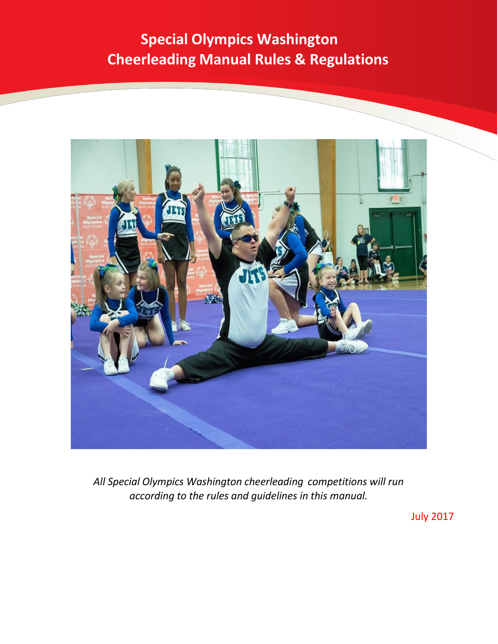# **Special Olympics Washington Cheerleading Manual Rules & Regulations**



*All Special Olympics Washington cheerleading competitions will run according to the rules and guidelines in this manual.*

July 2017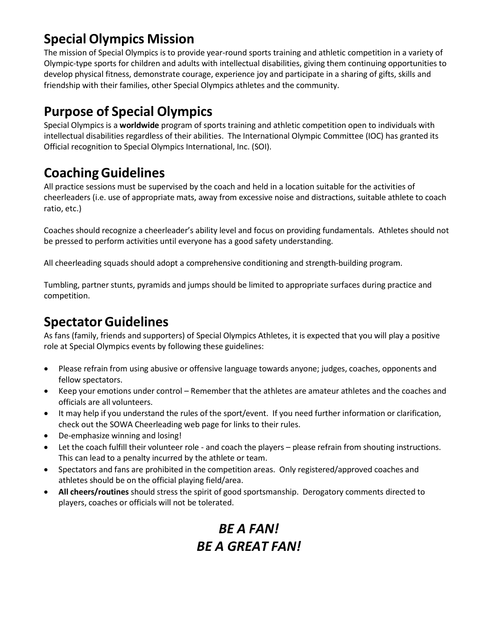### **Special Olympics Mission**

The mission of Special Olympics is to provide year-round sports training and athletic competition in a variety of Olympic-type sports for children and adults with intellectual disabilities, giving them continuing opportunities to develop physical fitness, demonstrate courage, experience joy and participate in a sharing of gifts, skills and friendship with their families, other Special Olympics athletes and the community.

### **Purpose of Special Olympics**

Special Olympics is a **worldwide** program of sports training and athletic competition open to individuals with intellectual disabilities regardless of their abilities. The International Olympic Committee (IOC) has granted its Official recognition to Special Olympics International, Inc. (SOI).

### **CoachingGuidelines**

All practice sessions must be supervised by the coach and held in a location suitable for the activities of cheerleaders (i.e. use of appropriate mats, away from excessive noise and distractions, suitable athlete to coach ratio, etc.)

Coaches should recognize a cheerleader's ability level and focus on providing fundamentals. Athletes should not be pressed to perform activities until everyone has a good safety understanding.

All cheerleading squads should adopt a comprehensive conditioning and strength-building program.

Tumbling, partner stunts, pyramids and jumps should be limited to appropriate surfaces during practice and competition.

### **SpectatorGuidelines**

As fans (family, friends and supporters) of Special Olympics Athletes, it is expected that you will play a positive role at Special Olympics events by following these guidelines:

- Please refrain from using abusive or offensive language towards anyone; judges, coaches, opponents and fellow spectators.
- Keep your emotions under control Remember that the athletes are amateur athletes and the coaches and officials are all volunteers.
- It may help if you understand the rules of the sport/event. If you need further information or clarification, check out the SOWA Cheerleading web page for links to their rules.
- De-emphasize winning and losing!
- Let the coach fulfill their volunteer role and coach the players please refrain from shouting instructions. This can lead to a penalty incurred by the athlete or team.
- Spectators and fans are prohibited in the competition areas. Only registered/approved coaches and athletes should be on the official playing field/area.
- **All cheers/routines** should stress the spirit of good sportsmanship. Derogatory comments directed to players, coaches or officials will not be tolerated.

### *BE A FAN! BE A GREAT FAN!*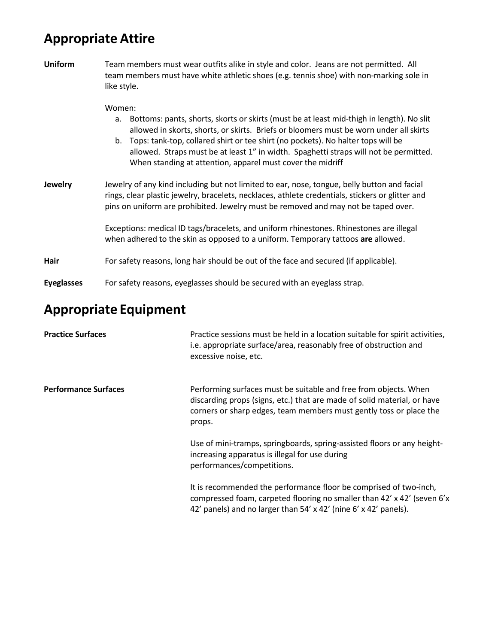# **Appropriate Attire**

| <b>Uniform</b>    | Team members must wear outfits alike in style and color. Jeans are not permitted. All<br>team members must have white athletic shoes (e.g. tennis shoe) with non-marking sole in<br>like style.                                                                                                                                                                                                                                                  |  |  |  |
|-------------------|--------------------------------------------------------------------------------------------------------------------------------------------------------------------------------------------------------------------------------------------------------------------------------------------------------------------------------------------------------------------------------------------------------------------------------------------------|--|--|--|
|                   | Women:<br>Bottoms: pants, shorts, skorts or skirts (must be at least mid-thigh in length). No slit<br>a.<br>allowed in skorts, shorts, or skirts. Briefs or bloomers must be worn under all skirts<br>b. Tops: tank-top, collared shirt or tee shirt (no pockets). No halter tops will be<br>allowed. Straps must be at least 1" in width. Spaghetti straps will not be permitted.<br>When standing at attention, apparel must cover the midriff |  |  |  |
| Jewelry           | Jewelry of any kind including but not limited to ear, nose, tongue, belly button and facial<br>rings, clear plastic jewelry, bracelets, necklaces, athlete credentials, stickers or glitter and<br>pins on uniform are prohibited. Jewelry must be removed and may not be taped over.                                                                                                                                                            |  |  |  |
|                   | Exceptions: medical ID tags/bracelets, and uniform rhinestones. Rhinestones are illegal<br>when adhered to the skin as opposed to a uniform. Temporary tattoos are allowed.                                                                                                                                                                                                                                                                      |  |  |  |
| Hair              | For safety reasons, long hair should be out of the face and secured (if applicable).                                                                                                                                                                                                                                                                                                                                                             |  |  |  |
| <b>Eyeglasses</b> | For safety reasons, eyeglasses should be secured with an eyeglass strap.                                                                                                                                                                                                                                                                                                                                                                         |  |  |  |

# **Appropriate Equipment**

| <b>Practice Surfaces</b>    | Practice sessions must be held in a location suitable for spirit activities,<br>i.e. appropriate surface/area, reasonably free of obstruction and<br>excessive noise, etc.                                                  |
|-----------------------------|-----------------------------------------------------------------------------------------------------------------------------------------------------------------------------------------------------------------------------|
| <b>Performance Surfaces</b> | Performing surfaces must be suitable and free from objects. When<br>discarding props (signs, etc.) that are made of solid material, or have<br>corners or sharp edges, team members must gently toss or place the<br>props. |
|                             | Use of mini-tramps, springboards, spring-assisted floors or any height-<br>increasing apparatus is illegal for use during<br>performances/competitions.                                                                     |
|                             | It is recommended the performance floor be comprised of two-inch,<br>compressed foam, carpeted flooring no smaller than 42' x 42' (seven 6'x<br>42' panels) and no larger than 54' x 42' (nine 6' x 42' panels).            |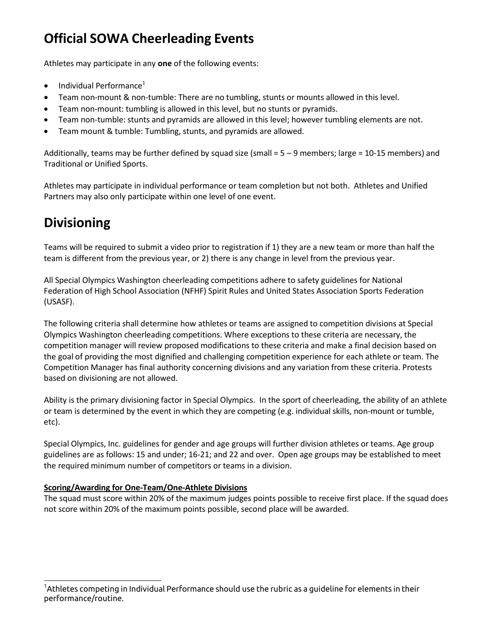### **Official SOWA Cheerleading Events**

Athletes may participate in any **one** of the following events:

- Individual Performance<sup>1</sup>
- Team non-mount & non-tumble: There are no tumbling, stunts or mounts allowed in this level.
- Team non-mount: tumbling is allowed in this level, but no stunts or pyramids.
- Team non-tumble: stunts and pyramids are allowed in this level; however tumbling elements are not.
- Team mount & tumble: Tumbling, stunts, and pyramids are allowed.

Additionally, teams may be further defined by squad size (small  $= 5 - 9$  members; large = 10-15 members) and Traditional or Unified Sports.

Athletes may participate in individual performance or team completion but not both. Athletes and Unified Partners may also only participate within one level of one event.

### **Divisioning**

Teams will be required to submit a video prior to registration if 1) they are a new team or more than half the team is different from the previous year, or 2) there is any change in level from the previous year.

All Special Olympics Washington cheerleading competitions adhere to safety guidelines for National Federation of High School Association (NFHF) Spirit Rules and United States Association Sports Federation (USASF).

The following criteria shall determine how athletes or teams are assigned to competition divisions at Special Olympics Washington cheerleading competitions. Where exceptions to these criteria are necessary, the competition manager will review proposed modifications to these criteria and make a final decision based on the goal of providing the most dignified and challenging competition experience for each athlete or team. The Competition Manager has final authority concerning divisions and any variation from these criteria. Protests based on divisioning are not allowed.

Ability is the primary divisioning factor in Special Olympics. In the sport of cheerleading, the ability of an athlete or team is determined by the event in which they are competing (e.g. individual skills, non-mount or tumble, etc).

Special Olympics, Inc. guidelines for gender and age groups will further division athletes or teams. Age group guidelines are as follows: 15 and under; 16-21; and 22 and over. Open age groups may be established to meet the required minimum number of competitors or teams in a division.

#### **Scoring/Awarding for One-Team/One-Athlete Divisions**

The squad must score within 20% of the maximum judges points possible to receive first place. If the squad does not score within 20% of the maximum points possible, second place will be awarded.

 $^{\rm 1}$ Athletes competing in Individual Performance should use the rubric as a guideline for elements in their performance/routine.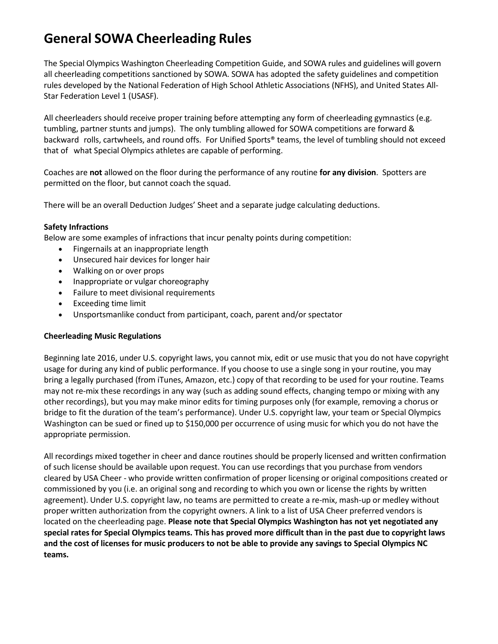### **General SOWA Cheerleading Rules**

The Special Olympics Washington Cheerleading Competition Guide, and SOWA rules and guidelines will govern all cheerleading competitions sanctioned by SOWA. SOWA has adopted the safety guidelines and competition rules developed by the National Federation of High School Athletic Associations (NFHS), and United States All-Star Federation Level 1 (USASF).

All cheerleaders should receive proper training before attempting any form of cheerleading gymnastics (e.g. tumbling, partner stunts and jumps). The only tumbling allowed for SOWA competitions are forward & backward rolls, cartwheels, and round offs. For Unified Sports® teams, the level of tumbling should not exceed that of what Special Olympics athletes are capable of performing.

Coaches are **not** allowed on the floor during the performance of any routine **for any division**. Spotters are permitted on the floor, but cannot coach the squad.

There will be an overall Deduction Judges' Sheet and a separate judge calculating deductions.

#### **Safety Infractions**

Below are some examples of infractions that incur penalty points during competition:

- Fingernails at an inappropriate length
- Unsecured hair devices for longer hair
- Walking on or over props
- Inappropriate or vulgar choreography
- Failure to meet divisional requirements
- Exceeding time limit
- Unsportsmanlike conduct from participant, coach, parent and/or spectator

#### **Cheerleading Music Regulations**

Beginning late 2016, under U.S. copyright laws, you cannot mix, edit or use music that you do not have copyright usage for during any kind of public performance. If you choose to use a single song in your routine, you may bring a legally purchased (from iTunes, Amazon, etc.) copy of that recording to be used for your routine. Teams may not re-mix these recordings in any way (such as adding sound effects, changing tempo or mixing with any other recordings), but you may make minor edits for timing purposes only (for example, removing a chorus or bridge to fit the duration of the team's performance). Under U.S. copyright law, your team or Special Olympics Washington can be sued or fined up to \$150,000 per occurrence of using music for which you do not have the appropriate permission.

All recordings mixed together in cheer and dance routines should be properly licensed and written confirmation of such license should be available upon request. You can use recordings that you purchase from vendors cleared by USA Cheer - who provide written confirmation of proper licensing or original compositions created or commissioned by you (i.e. an original song and recording to which you own or license the rights by written agreement). Under U.S. copyright law, no teams are permitted to create a re-mix, mash-up or medley without proper written authorization from the copyright owners. A link to a list of USA Cheer preferred vendors is located on the cheerleading page. **Please note that Special Olympics Washington has not yet negotiated any special rates for Special Olympics teams. This has proved more difficult than in the past due to copyright laws and the cost of licenses for music producers to not be able to provide any savings to Special Olympics NC teams.**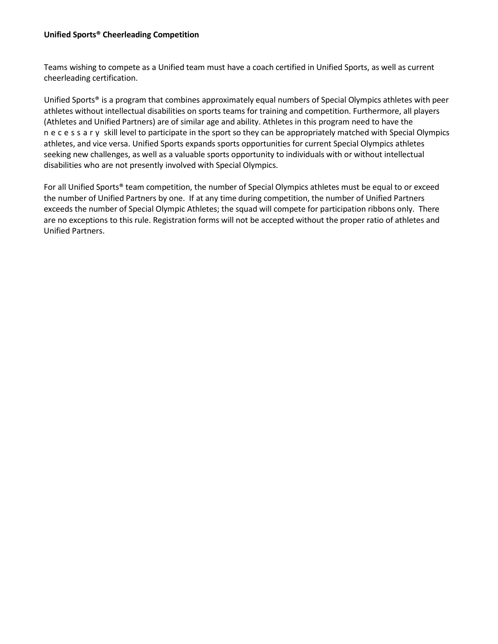#### **Unified Sports® Cheerleading Competition**

Teams wishing to compete as a Unified team must have a coach certified in Unified Sports, as well as current cheerleading certification.

Unified Sports® is a program that combines approximately equal numbers of Special Olympics athletes with peer athletes without intellectual disabilities on sports teams for training and competition. Furthermore, all players (Athletes and Unified Partners) are of similar age and ability. Athletes in this program need to have the necessary skill level to participate in the sport so they can be appropriately matched with Special Olympics athletes, and vice versa. Unified Sports expands sports opportunities for current Special Olympics athletes seeking new challenges, as well as a valuable sports opportunity to individuals with or without intellectual disabilities who are not presently involved with Special Olympics.

For all Unified Sports® team competition, the number of Special Olympics athletes must be equal to or exceed the number of Unified Partners by one. If at any time during competition, the number of Unified Partners exceeds the number of Special Olympic Athletes; the squad will compete for participation ribbons only. There are no exceptions to this rule. Registration forms will not be accepted without the proper ratio of athletes and Unified Partners.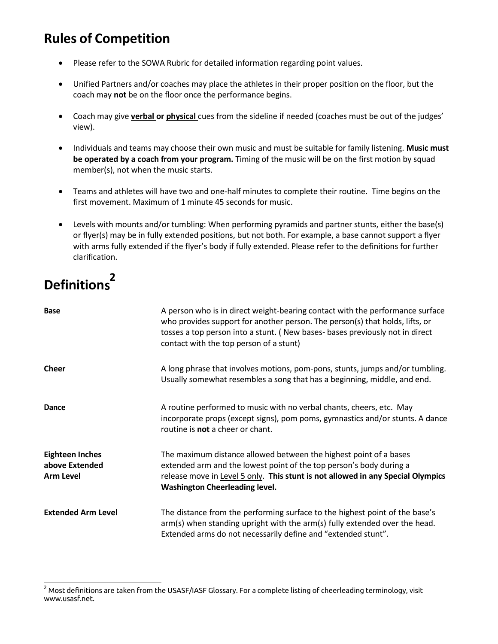### **Rules of Competition**

- Please refer to the SOWA Rubric for detailed information regarding point values.
- Unified Partners and/or coaches may place the athletes in their proper position on the floor, but the coach may **not** be on the floor once the performance begins.
- Coach may give **verbal or physical** cues from the sideline if needed (coaches must be out of the judges' view).
- Individuals and teams may choose their own music and must be suitable for family listening. **Music must be operated by a coach from your program.** Timing of the music will be on the first motion by squad member(s), not when the music starts.
- Teams and athletes will have two and one-half minutes to complete their routine. Time begins on the first movement. Maximum of 1 minute 45 seconds for music.
- Levels with mounts and/or tumbling: When performing pyramids and partner stunts, either the base(s) or flyer(s) may be in fully extended positions, but not both. For example, a base cannot support a flyer with arms fully extended if the flyer's body if fully extended. Please refer to the definitions for further clarification.

# **s Definition <sup>2</sup>**

| <b>Base</b>                                                  | A person who is in direct weight-bearing contact with the performance surface<br>who provides support for another person. The person(s) that holds, lifts, or<br>tosses a top person into a stunt. (New bases-bases previously not in direct<br>contact with the top person of a stunt) |
|--------------------------------------------------------------|-----------------------------------------------------------------------------------------------------------------------------------------------------------------------------------------------------------------------------------------------------------------------------------------|
| <b>Cheer</b>                                                 | A long phrase that involves motions, pom-pons, stunts, jumps and/or tumbling.<br>Usually somewhat resembles a song that has a beginning, middle, and end.                                                                                                                               |
| Dance                                                        | A routine performed to music with no verbal chants, cheers, etc. May<br>incorporate props (except signs), pom poms, gymnastics and/or stunts. A dance<br>routine is <b>not</b> a cheer or chant.                                                                                        |
| <b>Eighteen Inches</b><br>above Extended<br><b>Arm Level</b> | The maximum distance allowed between the highest point of a bases<br>extended arm and the lowest point of the top person's body during a<br>release move in Level 5 only. This stunt is not allowed in any Special Olympics<br>Washington Cheerleading level.                           |
| <b>Extended Arm Level</b>                                    | The distance from the performing surface to the highest point of the base's<br>arm(s) when standing upright with the arm(s) fully extended over the head.<br>Extended arms do not necessarily define and "extended stunt".                                                              |

 $2$  Mos[t](http://www.usasf.net/) definitions are taken from the USASF/IASF Glossary. For a complete listing of cheerleading terminology, visit [www.usasf.net.](http://www.usasf.net/)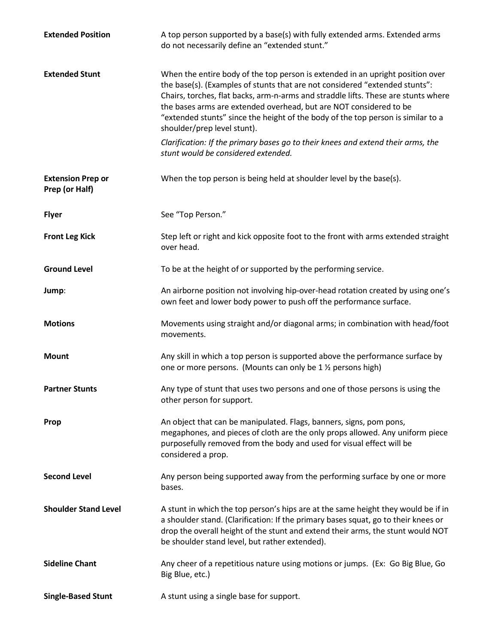| <b>Extended Position</b>                   | A top person supported by a base(s) with fully extended arms. Extended arms<br>do not necessarily define an "extended stunt."                                                                                                                                                                                                                                                                                                                |
|--------------------------------------------|----------------------------------------------------------------------------------------------------------------------------------------------------------------------------------------------------------------------------------------------------------------------------------------------------------------------------------------------------------------------------------------------------------------------------------------------|
| <b>Extended Stunt</b>                      | When the entire body of the top person is extended in an upright position over<br>the base(s). (Examples of stunts that are not considered "extended stunts":<br>Chairs, torches, flat backs, arm-n-arms and straddle lifts. These are stunts where<br>the bases arms are extended overhead, but are NOT considered to be<br>"extended stunts" since the height of the body of the top person is similar to a<br>shoulder/prep level stunt). |
|                                            | Clarification: If the primary bases go to their knees and extend their arms, the<br>stunt would be considered extended.                                                                                                                                                                                                                                                                                                                      |
| <b>Extension Prep or</b><br>Prep (or Half) | When the top person is being held at shoulder level by the base(s).                                                                                                                                                                                                                                                                                                                                                                          |
| <b>Flyer</b>                               | See "Top Person."                                                                                                                                                                                                                                                                                                                                                                                                                            |
| <b>Front Leg Kick</b>                      | Step left or right and kick opposite foot to the front with arms extended straight<br>over head.                                                                                                                                                                                                                                                                                                                                             |
| <b>Ground Level</b>                        | To be at the height of or supported by the performing service.                                                                                                                                                                                                                                                                                                                                                                               |
| Jump:                                      | An airborne position not involving hip-over-head rotation created by using one's<br>own feet and lower body power to push off the performance surface.                                                                                                                                                                                                                                                                                       |
| <b>Motions</b>                             | Movements using straight and/or diagonal arms; in combination with head/foot<br>movements.                                                                                                                                                                                                                                                                                                                                                   |
| <b>Mount</b>                               | Any skill in which a top person is supported above the performance surface by<br>one or more persons. (Mounts can only be 1 1/2 persons high)                                                                                                                                                                                                                                                                                                |
| <b>Partner Stunts</b>                      | Any type of stunt that uses two persons and one of those persons is using the<br>other person for support.                                                                                                                                                                                                                                                                                                                                   |
| Prop                                       | An object that can be manipulated. Flags, banners, signs, pom pons,<br>megaphones, and pieces of cloth are the only props allowed. Any uniform piece<br>purposefully removed from the body and used for visual effect will be<br>considered a prop.                                                                                                                                                                                          |
| <b>Second Level</b>                        | Any person being supported away from the performing surface by one or more<br>bases.                                                                                                                                                                                                                                                                                                                                                         |
| <b>Shoulder Stand Level</b>                | A stunt in which the top person's hips are at the same height they would be if in<br>a shoulder stand. (Clarification: If the primary bases squat, go to their knees or<br>drop the overall height of the stunt and extend their arms, the stunt would NOT<br>be shoulder stand level, but rather extended).                                                                                                                                 |
| <b>Sideline Chant</b>                      | Any cheer of a repetitious nature using motions or jumps. (Ex: Go Big Blue, Go<br>Big Blue, etc.)                                                                                                                                                                                                                                                                                                                                            |
| <b>Single-Based Stunt</b>                  | A stunt using a single base for support.                                                                                                                                                                                                                                                                                                                                                                                                     |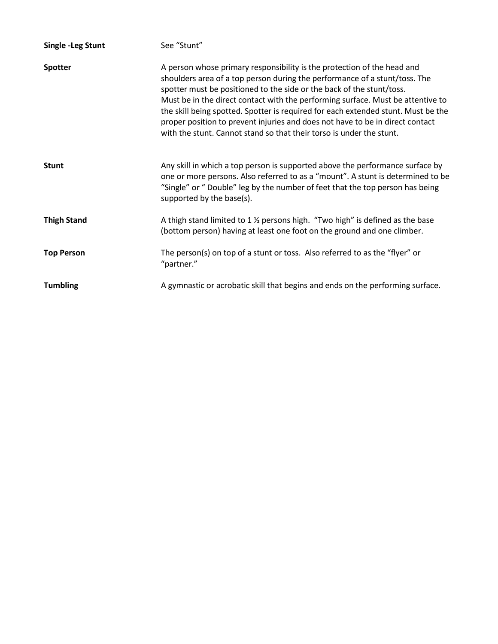| <b>Single -Leg Stunt</b> | See "Stunt"                                                                                                                                                                                                                                                                                                                                                                                                                                                                                                                                                     |
|--------------------------|-----------------------------------------------------------------------------------------------------------------------------------------------------------------------------------------------------------------------------------------------------------------------------------------------------------------------------------------------------------------------------------------------------------------------------------------------------------------------------------------------------------------------------------------------------------------|
| <b>Spotter</b>           | A person whose primary responsibility is the protection of the head and<br>shoulders area of a top person during the performance of a stunt/toss. The<br>spotter must be positioned to the side or the back of the stunt/toss.<br>Must be in the direct contact with the performing surface. Must be attentive to<br>the skill being spotted. Spotter is required for each extended stunt. Must be the<br>proper position to prevent injuries and does not have to be in direct contact<br>with the stunt. Cannot stand so that their torso is under the stunt. |
| <b>Stunt</b>             | Any skill in which a top person is supported above the performance surface by<br>one or more persons. Also referred to as a "mount". A stunt is determined to be<br>"Single" or " Double" leg by the number of feet that the top person has being<br>supported by the base(s).                                                                                                                                                                                                                                                                                  |
| <b>Thigh Stand</b>       | A thigh stand limited to $1\frac{1}{2}$ persons high. "Two high" is defined as the base<br>(bottom person) having at least one foot on the ground and one climber.                                                                                                                                                                                                                                                                                                                                                                                              |
| <b>Top Person</b>        | The person(s) on top of a stunt or toss. Also referred to as the "flyer" or<br>"partner."                                                                                                                                                                                                                                                                                                                                                                                                                                                                       |
| <b>Tumbling</b>          | A gymnastic or acrobatic skill that begins and ends on the performing surface.                                                                                                                                                                                                                                                                                                                                                                                                                                                                                  |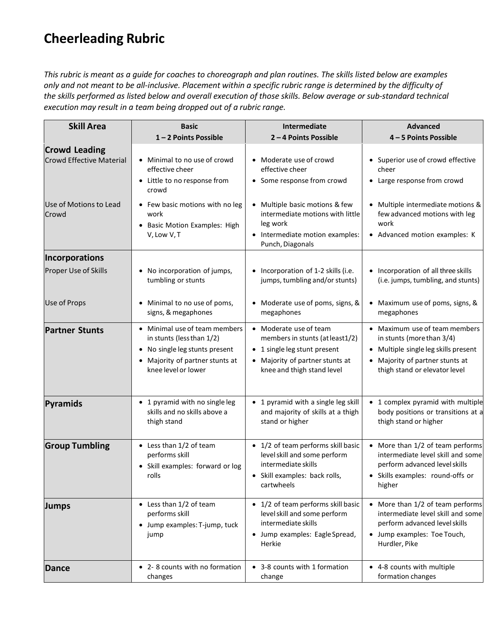### **Cheerleading Rubric**

*This rubric is meant as a guide for coaches to choreograph and plan routines. The skills listed below are examples only and not meant to be all-inclusive. Placement within a specific rubric range is determined by the difficulty of the skills performed as listed below and overall execution of those skills. Below average or sub-standard technical execution may result in a team being dropped out of a rubric range.*

| <b>Skill Area</b>                                       | <b>Basic</b>                                                                                                                                                    | Intermediate                                                                                                                                               | <b>Advanced</b>                                                                                                                                                    |
|---------------------------------------------------------|-----------------------------------------------------------------------------------------------------------------------------------------------------------------|------------------------------------------------------------------------------------------------------------------------------------------------------------|--------------------------------------------------------------------------------------------------------------------------------------------------------------------|
|                                                         | 1-2 Points Possible                                                                                                                                             | 2-4 Points Possible                                                                                                                                        | 4-5 Points Possible                                                                                                                                                |
| <b>Crowd Leading</b><br><b>Crowd Effective Material</b> | • Minimal to no use of crowd<br>effective cheer<br>• Little to no response from<br>crowd                                                                        | • Moderate use of crowd<br>effective cheer<br>• Some response from crowd                                                                                   | • Superior use of crowd effective<br>cheer<br>• Large response from crowd                                                                                          |
| Use of Motions to Lead<br>Crowd                         | • Few basic motions with no leg<br>work<br><b>Basic Motion Examples: High</b><br>V, Low V, T                                                                    | • Multiple basic motions & few<br>intermediate motions with little<br>leg work<br>• Intermediate motion examples:<br>Punch, Diagonals                      | • Multiple intermediate motions &<br>few advanced motions with leg<br>work<br>• Advanced motion examples: K                                                        |
| Incorporations                                          |                                                                                                                                                                 |                                                                                                                                                            |                                                                                                                                                                    |
| Proper Use of Skills                                    | No incorporation of jumps,<br>tumbling or stunts                                                                                                                | • Incorporation of 1-2 skills (i.e.<br>jumps, tumbling and/or stunts)                                                                                      | • Incorporation of all three skills<br>(i.e. jumps, tumbling, and stunts)                                                                                          |
| Use of Props                                            | Minimal to no use of poms,<br>signs, & megaphones                                                                                                               | • Moderate use of poms, signs, &<br>megaphones                                                                                                             | Maximum use of poms, signs, &<br>megaphones                                                                                                                        |
| <b>Partner Stunts</b>                                   | • Minimal use of team members<br>in stunts (less than 1/2)<br>No single leg stunts present<br>$\bullet$<br>Majority of partner stunts at<br>knee level or lower | • Moderate use of team<br>members in stunts (at least1/2)<br>• 1 single leg stunt present<br>• Majority of partner stunts at<br>knee and thigh stand level | Maximum use of team members<br>in stunts (more than 3/4)<br>• Multiple single leg skills present<br>Majority of partner stunts at<br>thigh stand or elevator level |
| Pyramids                                                | • 1 pyramid with no single leg<br>skills and no skills above a<br>thigh stand                                                                                   | • 1 pyramid with a single leg skill<br>and majority of skills at a thigh<br>stand or higher                                                                | 1 complex pyramid with multiple<br>body positions or transitions at a<br>thigh stand or higher                                                                     |
| <b>Group Tumbling</b>                                   | • Less than 1/2 of team<br>performs skill<br>• Skill examples: forward or log<br>rolls                                                                          | • 1/2 of team performs skill basic<br>level skill and some perform<br>intermediate skills<br>• Skill examples: back rolls,<br>cartwheels                   | • More than 1/2 of team performs<br>intermediate level skill and some<br>perform advanced level skills<br>• Skills examples: round-offs or<br>higher               |
| <b>Jumps</b>                                            | • Less than 1/2 of team<br>performs skill<br>• Jump examples: T-jump, tuck<br>jump                                                                              | • 1/2 of team performs skill basic<br>level skill and some perform<br>intermediate skills<br>• Jump examples: Eagle Spread,<br>Herkie                      | • More than 1/2 of team performs<br>intermediate level skill and some<br>perform advanced level skills<br>• Jump examples: Toe Touch,<br>Hurdler, Pike             |
| Dance                                                   | • 2-8 counts with no formation<br>changes                                                                                                                       | • 3-8 counts with 1 formation<br>change                                                                                                                    | • 4-8 counts with multiple<br>formation changes                                                                                                                    |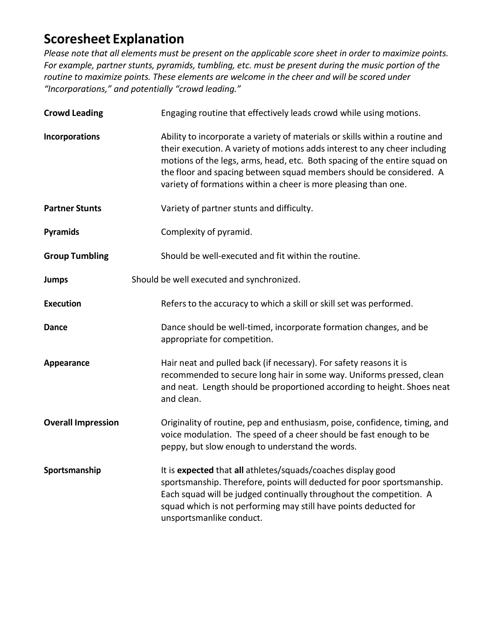### **Scoresheet Explanation**

*Please note that all elements must be present on the applicable score sheet in order to maximize points. For example, partner stunts, pyramids, tumbling, etc. must be present during the music portion of the routine to maximize points. These elements are welcome in the cheer and will be scored under "Incorporations," and potentially "crowd leading."*

| <b>Crowd Leading</b>      | Engaging routine that effectively leads crowd while using motions.                                                                                                                                                                                                                                                                                                                |
|---------------------------|-----------------------------------------------------------------------------------------------------------------------------------------------------------------------------------------------------------------------------------------------------------------------------------------------------------------------------------------------------------------------------------|
| Incorporations            | Ability to incorporate a variety of materials or skills within a routine and<br>their execution. A variety of motions adds interest to any cheer including<br>motions of the legs, arms, head, etc. Both spacing of the entire squad on<br>the floor and spacing between squad members should be considered. A<br>variety of formations within a cheer is more pleasing than one. |
| <b>Partner Stunts</b>     | Variety of partner stunts and difficulty.                                                                                                                                                                                                                                                                                                                                         |
| Pyramids                  | Complexity of pyramid.                                                                                                                                                                                                                                                                                                                                                            |
| <b>Group Tumbling</b>     | Should be well-executed and fit within the routine.                                                                                                                                                                                                                                                                                                                               |
| <b>Jumps</b>              | Should be well executed and synchronized.                                                                                                                                                                                                                                                                                                                                         |
| <b>Execution</b>          | Refers to the accuracy to which a skill or skill set was performed.                                                                                                                                                                                                                                                                                                               |
| Dance                     | Dance should be well-timed, incorporate formation changes, and be<br>appropriate for competition.                                                                                                                                                                                                                                                                                 |
| Appearance                | Hair neat and pulled back (if necessary). For safety reasons it is<br>recommended to secure long hair in some way. Uniforms pressed, clean<br>and neat. Length should be proportioned according to height. Shoes neat<br>and clean.                                                                                                                                               |
| <b>Overall Impression</b> | Originality of routine, pep and enthusiasm, poise, confidence, timing, and<br>voice modulation. The speed of a cheer should be fast enough to be<br>peppy, but slow enough to understand the words.                                                                                                                                                                               |
| Sportsmanship             | It is expected that all athletes/squads/coaches display good<br>sportsmanship. Therefore, points will deducted for poor sportsmanship.<br>Each squad will be judged continually throughout the competition. A<br>squad which is not performing may still have points deducted for<br>unsportsmanlike conduct.                                                                     |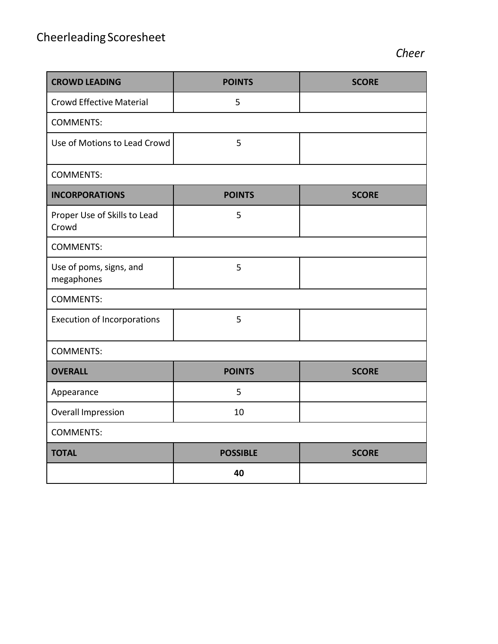| <b>CROWD LEADING</b>                  | <b>POINTS</b>   | <b>SCORE</b> |  |  |
|---------------------------------------|-----------------|--------------|--|--|
| <b>Crowd Effective Material</b>       | 5               |              |  |  |
| <b>COMMENTS:</b>                      |                 |              |  |  |
| Use of Motions to Lead Crowd          | 5               |              |  |  |
| <b>COMMENTS:</b>                      |                 |              |  |  |
| <b>INCORPORATIONS</b>                 | <b>POINTS</b>   | <b>SCORE</b> |  |  |
| Proper Use of Skills to Lead<br>Crowd | 5               |              |  |  |
| <b>COMMENTS:</b>                      |                 |              |  |  |
| Use of poms, signs, and<br>megaphones | 5               |              |  |  |
| <b>COMMENTS:</b>                      |                 |              |  |  |
| <b>Execution of Incorporations</b>    | 5               |              |  |  |
| <b>COMMENTS:</b>                      |                 |              |  |  |
| <b>OVERALL</b>                        | <b>POINTS</b>   | <b>SCORE</b> |  |  |
| Appearance                            | 5               |              |  |  |
| <b>Overall Impression</b>             | 10              |              |  |  |
| <b>COMMENTS:</b>                      |                 |              |  |  |
| <b>TOTAL</b>                          | <b>POSSIBLE</b> | <b>SCORE</b> |  |  |
|                                       | 40              |              |  |  |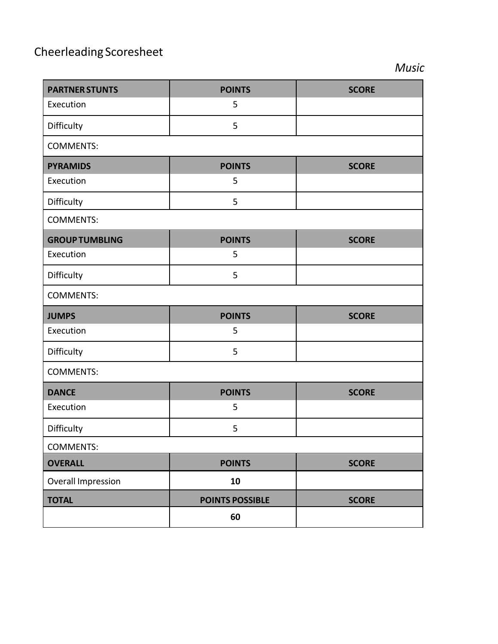## Cheerleading Scoresheet

*Music*

| <b>PARTNER STUNTS</b>     | <b>POINTS</b>          | <b>SCORE</b> |  |  |  |
|---------------------------|------------------------|--------------|--|--|--|
| Execution                 | 5                      |              |  |  |  |
| Difficulty                | 5                      |              |  |  |  |
| <b>COMMENTS:</b>          |                        |              |  |  |  |
| <b>PYRAMIDS</b>           | <b>POINTS</b>          | <b>SCORE</b> |  |  |  |
| Execution                 | 5                      |              |  |  |  |
| Difficulty                | 5                      |              |  |  |  |
| <b>COMMENTS:</b>          |                        |              |  |  |  |
| <b>GROUP TUMBLING</b>     | <b>POINTS</b>          | <b>SCORE</b> |  |  |  |
| Execution                 | 5                      |              |  |  |  |
| Difficulty                | 5                      |              |  |  |  |
| <b>COMMENTS:</b>          |                        |              |  |  |  |
| <b>JUMPS</b>              | <b>POINTS</b>          | <b>SCORE</b> |  |  |  |
| Execution                 | 5                      |              |  |  |  |
| Difficulty                | 5                      |              |  |  |  |
| <b>COMMENTS:</b>          |                        |              |  |  |  |
| <b>DANCE</b>              | <b>POINTS</b>          | <b>SCORE</b> |  |  |  |
| Execution                 | 5                      |              |  |  |  |
| Difficulty                | 5                      |              |  |  |  |
| <b>COMMENTS:</b>          |                        |              |  |  |  |
| <b>OVERALL</b>            | <b>POINTS</b>          | <b>SCORE</b> |  |  |  |
| <b>Overall Impression</b> |                        |              |  |  |  |
|                           | 10                     |              |  |  |  |
| <b>TOTAL</b>              | <b>POINTS POSSIBLE</b> | <b>SCORE</b> |  |  |  |